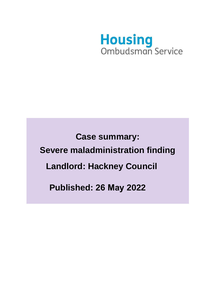

**Case summary: Severe maladministration finding Landlord: Hackney Council Published: 26 May 2022**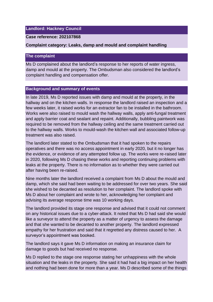## **Landlord: Hackney Council**

### **Case reference: 202107868**

#### **Complaint category: Leaks, damp and mould and complaint handling**

## **The complaint**

Ms D complained about the landlord's response to her reports of water ingress, damp and mould at the property. The Ombudsman also considered the landlord's complaint handling and compensation offer.

## **Background and summary of events**

In late 2019, Ms D reported issues with damp and mould at the property, in the hallway and on the kitchen walls. In response the landlord raised an inspection and a few weeks later, it raised works for an extractor fan to be installed in the bathroom. Works were also raised to mould wash the hallway walls, apply anti-fungal treatment and apply barrier coat and sealant and repaint. Additionally, bubbling paintwork was required to be removed from the hallway ceiling and the same treatment carried out to the hallway walls. Works to mould-wash the kitchen wall and associated follow-up treatment was also raised.

The landlord later stated to the Ombudsman that it had spoken to the repairs operatives and there was no access appointment in early 2020, but it no longer has the evidence, or evidence of any attempted follow up. The works were re-raised later in 2020, following Ms D chasing these works and reporting continuing problems with leaks at the property. There is no information as to whether they were carried out after having been re-raised.

Nine months later the landlord received a complaint from Ms D about the mould and damp, which she said had been waiting to be addressed for over two years. She said she wished to be decanted as resolution to her complaint. The landlord spoke with Ms D about her complaint and wrote to her, acknowledging her complaint and advising its average response time was 10 working days.

The landlord provided its stage one response and advised that it could not comment on any historical issues due to a cyber-attack. It noted that Ms D had said she would like a surveyor to attend the property as a matter of urgency to assess the damage and that she wanted to be decanted to another property. The landlord expressed empathy for her frustration and said that it regretted any distress caused to her. A surveyor's appointment was booked.

The landlord says it gave Ms D information on making an insurance claim for damage to goods but had received no response.

Ms D replied to the stage one response stating her unhappiness with the whole situation and the leaks in the property. She said it had had a big impact on her health and nothing had been done for more than a year. Ms D described some of the things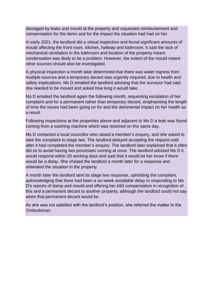damaged by leaks and mould at the property and requested reimbursement and compensation for the items and for the impact the situation had had on her.

In early 2021, the landlord did a virtual inspection and found significant amounts of mould affecting the front room, kitchen, hallway and bathroom. It said the lack of mechanical ventilation in the bathroom and location of the property meant condensation was likely to be a problem. However, the extent of the mould meant other sources should also be investigated.

A physical inspection a month later determined that there was water ingress from multiple sources and a temporary decant was urgently required, due to health and safety implications. Ms D emailed the landlord advising that the surveyor had said she needed to be moved and asked how long it would take.

Ms D emailed the landlord again the following month, requesting escalation of her complaint and for a permanent rather than temporary decant, emphasising the length of time the issues had been going on for and the detrimental impact on her health as a result.

Following inspections at the properties above and adjacent to Ms D a leak was found coming from a washing machine which was resolved on the same day.

Ms D contacted a local councillor who raised a member's enquiry, and she asked to take the complaint to stage two. The landlord delayed accepting the request until after it had completed the member's enquiry. The landlord later explained that it often did so to avoid having two processes running at once. The landlord advised Ms D it would respond within 20 working days and said that it would let her know if there would be a delay. She chased the landlord a month later for a response and reiterated the situation in the property.

A month later the landlord sent its stage two response, upholding the complaint, acknowledging that there had been a six-week avoidable delay in responding to Ms D's reports of damp and mould and offering her £60 compensation in recognition of this and a permanent decant to another property, although the landlord could not say when that permanent decant would be.

As she was not satisfied with the landlord's position, she referred the matter to the Ombudsman.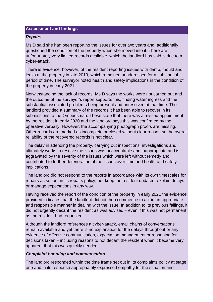# **Assessment and findings**

### *Repairs*

Ms D said she had been reporting the issues for over two years and, additionally, questioned the condition of the property when she moved into it. There are unfortunately very limited records available, which the landlord has said is due to a cyber-attack.

There is evidence, however, of the resident reporting issues with damp, mould and leaks at the property in late 2019, which remained unaddressed for a substantial period of time. The surveyor noted health and safety implications in the condition of the property in early 2021.

Notwithstanding the lack of records, Ms D says the works were not carried out and the outcome of the surveyor's report supports this, finding water ingress and the substantial associated problems being present and unresolved at that time. The landlord provided a summary of the records it has been able to recover in its submissions to the Ombudsman. These state that there was a missed appointment by the resident in early 2020 and the landlord says this was confirmed by the operative verbally. However, the accompanying photograph proofs are missing. Other records are marked as incomplete or closed without clear reason so the overall reliability of the recovered records is not clear.

The delay in attending the property, carrying out inspections, investigations and ultimately works to resolve the issues was unacceptable and inappropriate and is aggravated by the severity of the issues which were left without remedy and contributed to further deterioration of the issues over time and health and safety implications.

The landlord did not respond to the reports in accordance with its own timescales for repairs as set out in its repairs policy, nor keep the resident updated, explain delays or manage expectations in any way.

Having received the report of the condition of the property in early 2021 the evidence provided indicates that the landlord did not then commence to act in an appropriate and responsible manner in dealing with the issue. In addition to its previous failings, it did not urgently decant the resident as was advised – even if this was not permanent, as the resident had requested.

Although the landlord references a cyber-attack, email chains of conversations remain available and yet there is no explanation for the delays throughout or any evidence of effective communication, expectation management or reasoning for decisions taken – including reasons to not decant the resident when it became very apparent that this was quickly needed.

## *Complaint handling and compensation*

The landlord responded within the time frame set out in its complaints policy at stage one and in its response appropriately expressed empathy for the situation and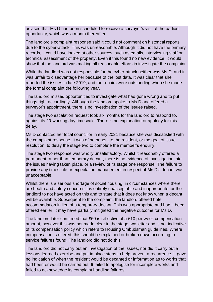advised that Ms D had been scheduled to receive a surveyor's visit at the earliest opportunity, which was a month thereafter.

The landlord's complaint response said it could not comment on historical reports due to the cyber-attack. This was unreasonable. Although it did not have the primary records, it could have looked at other sources, such as emails, interviewing staff or technical assessment of the property. Even if this found no new evidence, it would show that the landlord was making all reasonable efforts in investigate the complaint.

While the landlord was not responsible for the cyber-attack neither was Ms D, and it was unfair to disadvantage her because of the lost data. It was clear that she reported the issues in late 2019, and the repairs were outstanding when she made the formal complaint the following year.

The landlord missed opportunities to investigate what had gone wrong and to put things right accordingly. Although the landlord spoke to Ms D and offered a surveyor's appointment, there is no investigation of the issues raised.

The stage two escalation request took six months for the landlord to respond to, against its 20-working day timescale. There is no explanation or apology for this delay.

Ms D contacted her local councillor in early 2021 because she was dissatisfied with the complaint response. It was of no benefit to the resident, or the goal of issue resolution, to delay the stage two to complete the member's enquiry.

The stage two response was wholly unsatisfactory. Whilst it reasonably offered a permanent rather than temporary decant, there is no evidence of investigation into the issues having taken place, or a review of its stage one response. The failure to provide any timescale or expectation management in respect of Ms D's decant was unacceptable.

Whilst there is a serious shortage of social housing, in circumstances where there are health and safety concerns it is entirely unacceptable and inappropriate for the landlord to not have acted on this and to state that it does not know when a decant will be available. Subsequent to the complaint, the landlord offered hotel accommodation in lieu of a temporary decant. This was appropriate and had it been offered earlier, it may have partially mitigated the negative outcome for Ms D.

The landlord later confirmed that £60 is reflective of a £10 per week compensation amount, however this was not made clear in the stage two letter and is not indicative of its compensation policy which refers to Housing Ombudsman guidelines. Where compensation is offered, this should be explained or broken down according to service failures found. The landlord did not do this.

The landlord did not carry out an investigation of the issues, nor did it carry out a lessons-learned exercise and put in place steps to help prevent a recurrence. It gave no indication of when the resident would be decanted or information as to works that had been or would be carried out. It failed to apologise for incomplete works and failed to acknowledge its complaint handling failures.